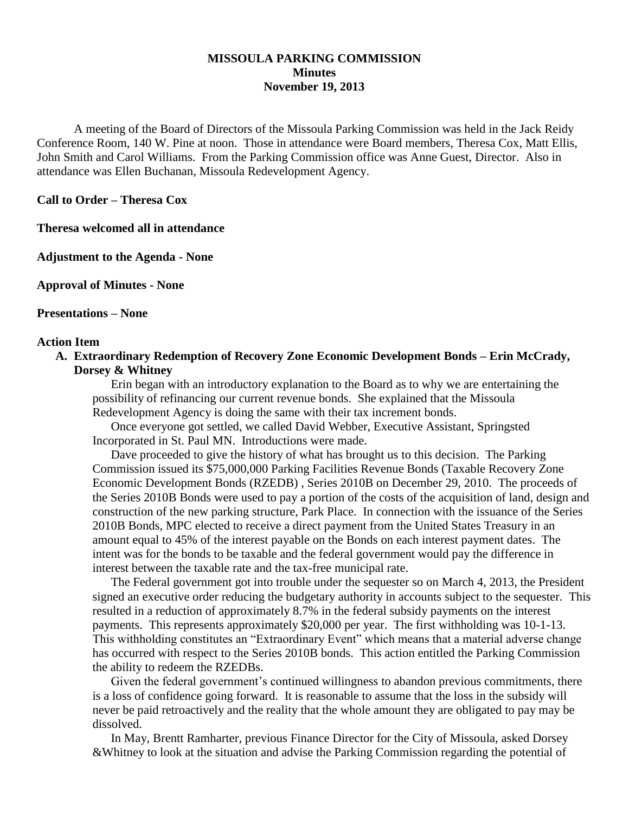### **MISSOULA PARKING COMMISSION Minutes November 19, 2013**

A meeting of the Board of Directors of the Missoula Parking Commission was held in the Jack Reidy Conference Room, 140 W. Pine at noon. Those in attendance were Board members, Theresa Cox, Matt Ellis, John Smith and Carol Williams. From the Parking Commission office was Anne Guest, Director. Also in attendance was Ellen Buchanan, Missoula Redevelopment Agency.

**Call to Order – Theresa Cox**

**Theresa welcomed all in attendance**

**Adjustment to the Agenda - None**

**Approval of Minutes - None**

**Presentations – None**

#### **Action Item**

**A. Extraordinary Redemption of Recovery Zone Economic Development Bonds – Erin McCrady, Dorsey & Whitney**

Erin began with an introductory explanation to the Board as to why we are entertaining the possibility of refinancing our current revenue bonds. She explained that the Missoula Redevelopment Agency is doing the same with their tax increment bonds.

Once everyone got settled, we called David Webber, Executive Assistant, Springsted Incorporated in St. Paul MN. Introductions were made.

Dave proceeded to give the history of what has brought us to this decision. The Parking Commission issued its \$75,000,000 Parking Facilities Revenue Bonds (Taxable Recovery Zone Economic Development Bonds (RZEDB) , Series 2010B on December 29, 2010. The proceeds of the Series 2010B Bonds were used to pay a portion of the costs of the acquisition of land, design and construction of the new parking structure, Park Place. In connection with the issuance of the Series 2010B Bonds, MPC elected to receive a direct payment from the United States Treasury in an amount equal to 45% of the interest payable on the Bonds on each interest payment dates. The intent was for the bonds to be taxable and the federal government would pay the difference in interest between the taxable rate and the tax-free municipal rate.

The Federal government got into trouble under the sequester so on March 4, 2013, the President signed an executive order reducing the budgetary authority in accounts subject to the sequester. This resulted in a reduction of approximately 8.7% in the federal subsidy payments on the interest payments. This represents approximately \$20,000 per year. The first withholding was 10-1-13. This withholding constitutes an "Extraordinary Event" which means that a material adverse change has occurred with respect to the Series 2010B bonds. This action entitled the Parking Commission the ability to redeem the RZEDBs.

Given the federal government's continued willingness to abandon previous commitments, there is a loss of confidence going forward. It is reasonable to assume that the loss in the subsidy will never be paid retroactively and the reality that the whole amount they are obligated to pay may be dissolved.

In May, Brentt Ramharter, previous Finance Director for the City of Missoula, asked Dorsey &Whitney to look at the situation and advise the Parking Commission regarding the potential of